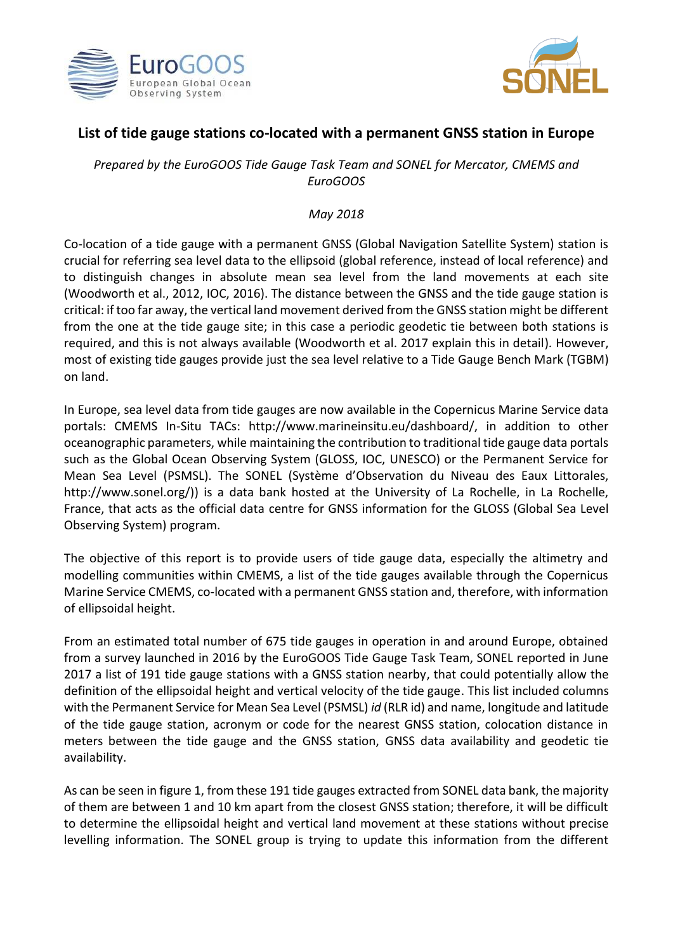



## **List of tide gauge stations co-located with a permanent GNSS station in Europe**

*Prepared by the EuroGOOS Tide Gauge Task Team and SONEL for Mercator, CMEMS and EuroGOOS*

## *May 2018*

Co-location of a tide gauge with a permanent GNSS (Global Navigation Satellite System) station is crucial for referring sea level data to the ellipsoid (global reference, instead of local reference) and to distinguish changes in absolute mean sea level from the land movements at each site (Woodworth et al., 2012, IOC, 2016). The distance between the GNSS and the tide gauge station is critical: if too far away, the vertical land movement derived from the GNSS station might be different from the one at the tide gauge site; in this case a periodic geodetic tie between both stations is required, and this is not always available (Woodworth et al. 2017 explain this in detail). However, most of existing tide gauges provide just the sea level relative to a Tide Gauge Bench Mark (TGBM) on land.

In Europe, sea level data from tide gauges are now available in the Copernicus Marine Service data portals: CMEMS In-Situ TACs: [http://www.marineinsitu.eu/dashboard/,](http://www.marineinsitu.eu/dashboard/) in addition to other oceanographic parameters, while maintaining the contribution to traditional tide gauge data portals such as the Global Ocean Observing System (GLOSS, IOC, UNESCO) or the Permanent Service for Mean Sea Level (PSMSL). The SONEL (Système d'Observation du Niveau des Eaux Littorales, [http://www.sonel.org/\)\)](http://www.sonel.org/)) is a data bank hosted at the University of La Rochelle, in La Rochelle, France, that acts as the official data centre for GNSS information for the GLOSS (Global Sea Level Observing System) program.

The objective of this report is to provide users of tide gauge data, especially the altimetry and modelling communities within CMEMS, a list of the tide gauges available through the Copernicus Marine Service CMEMS, co-located with a permanent GNSS station and, therefore, with information of ellipsoidal height.

From an estimated total number of 675 tide gauges in operation in and around Europe, obtained from a survey launched in 2016 by the EuroGOOS Tide Gauge Task Team, SONEL reported in June 2017 a list of 191 tide gauge stations with a GNSS station nearby, that could potentially allow the definition of the ellipsoidal height and vertical velocity of the tide gauge. This list included columns with the Permanent Service for Mean Sea Level (PSMSL) *id* (RLR id) and name, longitude and latitude of the tide gauge station, acronym or code for the nearest GNSS station, colocation distance in meters between the tide gauge and the GNSS station, GNSS data availability and geodetic tie availability.

As can be seen in figure 1, from these 191 tide gauges extracted from SONEL data bank, the majority of them are between 1 and 10 km apart from the closest GNSS station; therefore, it will be difficult to determine the ellipsoidal height and vertical land movement at these stations without precise levelling information. The SONEL group is trying to update this information from the different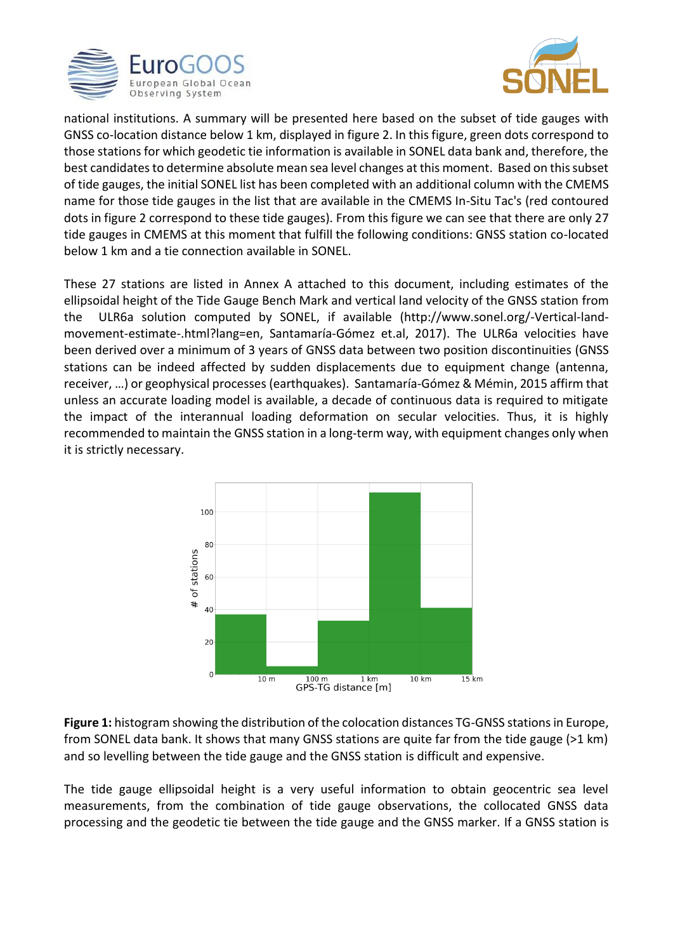



national institutions. A summary will be presented here based on the subset of tide gauges with GNSS co-location distance below 1 km, displayed in figure 2. In this figure, green dots correspond to those stations for which geodetic tie information is available in SONEL data bank and, therefore, the best candidates to determine absolute mean sea level changes at this moment. Based on this subset of tide gauges, the initial SONEL list has been completed with an additional column with the CMEMS name for those tide gauges in the list that are available in the CMEMS In-Situ Tac's (red contoured dots in figure 2 correspond to these tide gauges). From this figure we can see that there are only 27 tide gauges in CMEMS at this moment that fulfill the following conditions: GNSS station co-located below 1 km and a tie connection available in SONEL.

These 27 stations are listed in Annex A attached to this document, including estimates of the ellipsoidal height of the Tide Gauge Bench Mark and vertical land velocity of the GNSS station from the ULR6a solution computed by SONEL, if available [\(http://www.sonel.org/-Vertical-land](http://www.sonel.org/-Vertical-land-movement-estimate-.html?lang=en)[movement-estimate-.html?lang=en,](http://www.sonel.org/-Vertical-land-movement-estimate-.html?lang=en) Santamaría-Gómez et.al, 2017). The ULR6a velocities have been derived over a minimum of 3 years of GNSS data between two position discontinuities (GNSS stations can be indeed affected by sudden displacements due to equipment change (antenna, receiver, …) or geophysical processes (earthquakes). Santamaría-Gómez & Mémin, 2015 affirm that unless an accurate loading model is available, a decade of continuous data is required to mitigate the impact of the interannual loading deformation on secular velocities. Thus, it is highly recommended to maintain the GNSS station in a long-term way, with equipment changes only when it is strictly necessary.



**Figure 1:** histogram showing the distribution of the colocation distances TG-GNSS stations in Europe, from SONEL data bank. It shows that many GNSS stations are quite far from the tide gauge (>1 km) and so levelling between the tide gauge and the GNSS station is difficult and expensive.

The tide gauge ellipsoidal height is a very useful information to obtain geocentric sea level measurements, from the combination of tide gauge observations, the collocated GNSS data processing and the geodetic tie between the tide gauge and the GNSS marker. If a GNSS station is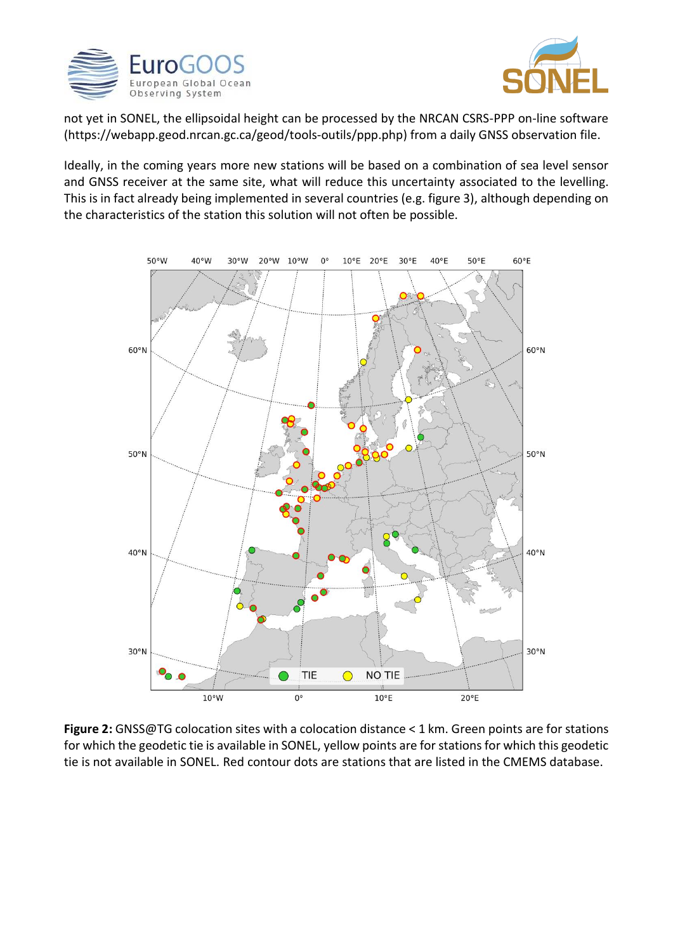



not yet in SONEL, the ellipsoidal height can be processed by the NRCAN CSRS-PPP on-line software [\(https://webapp.geod.nrcan.gc.ca/geod/tools-outils/ppp.php\)](https://webapp.geod.nrcan.gc.ca/geod/tools-outils/ppp.php) from a daily GNSS observation file.

Ideally, in the coming years more new stations will be based on a combination of sea level sensor and GNSS receiver at the same site, what will reduce this uncertainty associated to the levelling. This is in fact already being implemented in several countries (e.g. figure 3), although depending on the characteristics of the station this solution will not often be possible.



**Figure 2:** GNSS@TG colocation sites with a colocation distance < 1 km. Green points are for stations for which the geodetic tie is available in SONEL, yellow points are for stations for which this geodetic tie is not available in SONEL. Red contour dots are stations that are listed in the CMEMS database.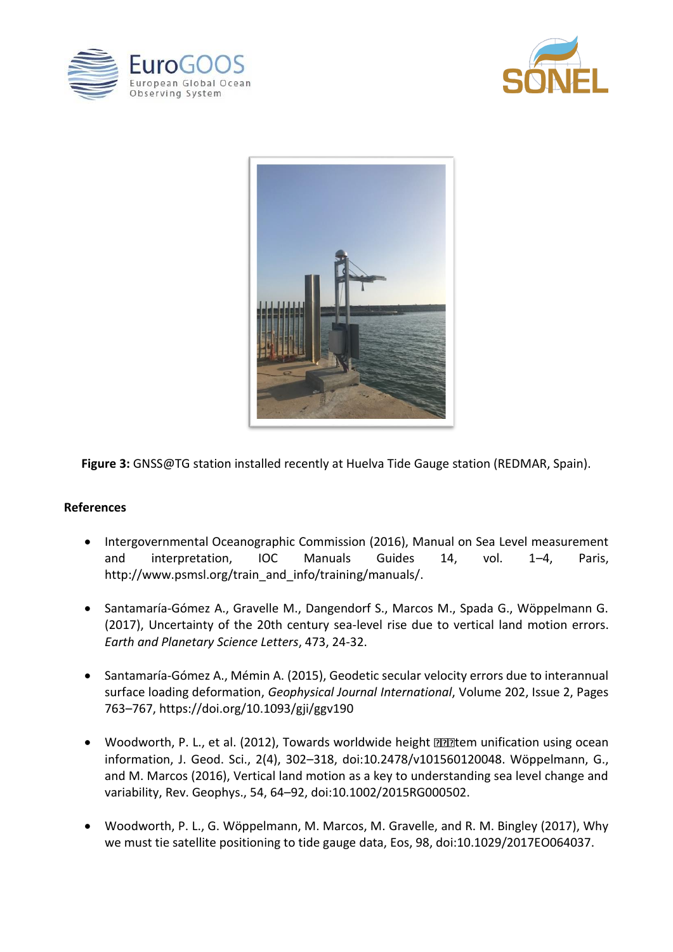





**Figure 3:** GNSS@TG station installed recently at Huelva Tide Gauge station (REDMAR, Spain).

## **References**

- Intergovernmental Oceanographic Commission (2016), Manual on Sea Level measurement and interpretation, IOC Manuals Guides 14, vol. 1–4, Paris, [http://www.psmsl.org/train\\_and\\_info/training/manuals/.](http://www.psmsl.org/train_and_info/training/manuals/)
- Santamaría-Gómez A., Gravelle M., Dangendorf S., Marcos M., Spada G., Wöppelmann G. (2017), [Uncertainty of the 20th century sea-level rise due to vertical land motion errors.](http://www.sciencedirect.com/science/article/pii/S0012821X17303060) *Earth and Planetary Science Letters*, 473, 24-32.
- Santamaría-Gómez A., Mémin A. (2015), Geodetic secular velocity errors due to interannual surface loading deformation, *Geophysical Journal International*, Volume 202, Issue 2, Pages 763–767,<https://doi.org/10.1093/gji/ggv190>
- Woodworth, P. L., et al. (2012), Towards worldwide height  $\Box$  $\Box$  tem unification using ocean information, J. Geod. Sci., 2(4), 302–318, doi:10.2478/v101560120048. Wöppelmann, G., and M. Marcos (2016), Vertical land motion as a key to understanding sea level change and variability, Rev. Geophys., 54, 64–92, doi:10.1002/2015RG000502.
- Woodworth, P. L., G. Wöppelmann, M. Marcos, M. Gravelle, and R. M. Bingley (2017), Why we must tie satellite positioning to tide gauge data, Eos, 98, doi:10.1029/2017EO064037.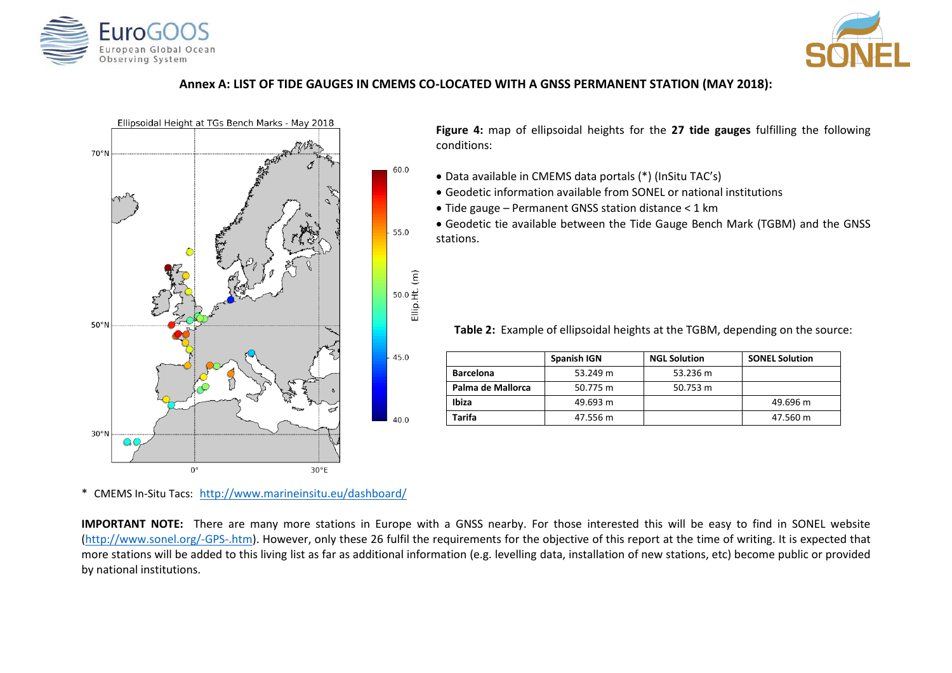



## **Annex A: LIST OF TIDE GAUGES IN CMEMS CO-LOCATED WITH A GNSS PERMANENT STATION (MAY 2018):**

60.0

55.0

 $50.0 \frac{\text{ft}}{\text{m}}$ 

45.0

40.0



**Figure 4:** map of ellipsoidal heights for the **27 tide gauges** fulfilling the following conditions:

- Data available in CMEMS data portals (\*) (InSitu TAC's)
- Geodetic information available from SONEL or national institutions
- Tide gauge Permanent GNSS station distance < 1 km
- Geodetic tie available between the Tide Gauge Bench Mark (TGBM) and the GNSS stations.

**Table 2:** Example of ellipsoidal heights at the TGBM, depending on the source:

|                   | Spanish IGN | <b>NGL Solution</b> | <b>SONEL Solution</b> |
|-------------------|-------------|---------------------|-----------------------|
| <b>Barcelona</b>  | 53.249 m    | 53.236 m            |                       |
| Palma de Mallorca | 50.775 m    | 50.753 m            |                       |
| Ibiza             | 49.693 m    |                     | 49.696 m              |
| Tarifa            | 47.556 m    |                     | 47.560 m              |

\* CMEMS In-Situ Tacs: <http://www.marineinsitu.eu/dashboard/>

**IMPORTANT NOTE:** There are many more stations in Europe with a GNSS nearby. For those interested this will be easy to find in SONEL website [\(http://www.sonel.org/-GPS-.htm\)](http://www.sonel.org/-GPS-.htm). However, only these 26 fulfil the requirements for the objective of this report at the time of writing. It is expected that more stations will be added to this living list as far as additional information (e.g. levelling data, installation of new stations, etc) become public or provided by national institutions.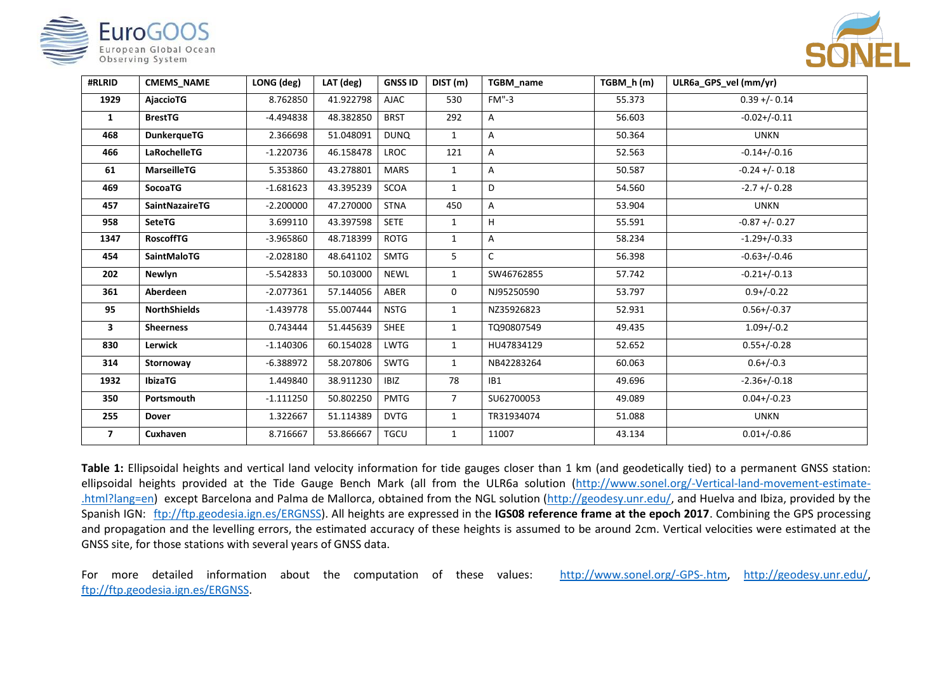| <b>EuroGO</b>                             |
|-------------------------------------------|
| European Global Ocean<br>Observing System |



| #RLRID         | <b>CMEMS NAME</b>     | LONG (deg)  | LAT (deg) | <b>GNSS ID</b> | DIST (m)       | TGBM name       | TGBM h(m) | ULR6a GPS vel (mm/yr) |
|----------------|-----------------------|-------------|-----------|----------------|----------------|-----------------|-----------|-----------------------|
| 1929           | <b>AjaccioTG</b>      | 8.762850    | 41.922798 | <b>AJAC</b>    | 530            | $FM" - 3$       | 55.373    | $0.39 + (-0.14)$      |
| $\mathbf{1}$   | <b>BrestTG</b>        | -4.494838   | 48.382850 | <b>BRST</b>    | 292            | A               | 56.603    | $-0.02+/-0.11$        |
| 468            | <b>DunkerqueTG</b>    | 2.366698    | 51.048091 | <b>DUNQ</b>    | $\mathbf{1}$   | А               | 50.364    | <b>UNKN</b>           |
| 466            | <b>LaRochelleTG</b>   | $-1.220736$ | 46.158478 | <b>LROC</b>    | 121            | A               | 52.563    | $-0.14 + (-0.16)$     |
| 61             | <b>MarseilleTG</b>    | 5.353860    | 43.278801 | <b>MARS</b>    | $\mathbf{1}$   | А               | 50.587    | $-0.24 + (-0.18)$     |
| 469            | <b>SocoaTG</b>        | $-1.681623$ | 43.395239 | <b>SCOA</b>    | $\mathbf{1}$   | D               | 54.560    | $-2.7$ +/- 0.28       |
| 457            | <b>SaintNazaireTG</b> | $-2.200000$ | 47.270000 | <b>STNA</b>    | 450            | A               | 53.904    | <b>UNKN</b>           |
| 958            | <b>SeteTG</b>         | 3.699110    | 43.397598 | <b>SETE</b>    | $\mathbf{1}$   | H               | 55.591    | $-0.87 + (-0.27)$     |
| 1347           | <b>RoscoffTG</b>      | $-3.965860$ | 48.718399 | <b>ROTG</b>    | $\mathbf{1}$   | А               | 58.234    | $-1.29+/-0.33$        |
| 454            | <b>SaintMaloTG</b>    | $-2.028180$ | 48.641102 | <b>SMTG</b>    | 5              | $\mathsf{C}$    | 56.398    | $-0.63+/-0.46$        |
| 202            | <b>Newlyn</b>         | $-5.542833$ | 50.103000 | <b>NEWL</b>    | $\mathbf{1}$   | SW46762855      | 57.742    | $-0.21+/-0.13$        |
| 361            | Aberdeen              | $-2.077361$ | 57.144056 | ABER           | 0              | NJ95250590      | 53.797    | $0.9+/-0.22$          |
| 95             | <b>NorthShields</b>   | $-1.439778$ | 55.007444 | <b>NSTG</b>    | $\mathbf{1}$   | NZ35926823      | 52.931    | $0.56 + (-0.37)$      |
| 3              | <b>Sheerness</b>      | 0.743444    | 51.445639 | <b>SHEE</b>    | 1              | TQ90807549      | 49.435    | $1.09 + / -0.2$       |
| 830            | <b>Lerwick</b>        | $-1.140306$ | 60.154028 | <b>LWTG</b>    | $\mathbf{1}$   | HU47834129      | 52.652    | $0.55 + (-0.28)$      |
| 314            | Stornoway             | $-6.388972$ | 58.207806 | <b>SWTG</b>    | $\mathbf{1}$   | NB42283264      | 60.063    | $0.6 + / -0.3$        |
| 1932           | <b>IbizaTG</b>        | 1.449840    | 38.911230 | <b>IBIZ</b>    | 78             | IB <sub>1</sub> | 49.696    | $-2.36+/-0.18$        |
| 350            | Portsmouth            | $-1.111250$ | 50.802250 | <b>PMTG</b>    | $\overline{7}$ | SU62700053      | 49.089    | $0.04 + (-0.23)$      |
| 255            | Dover                 | 1.322667    | 51.114389 | <b>DVTG</b>    | 1              | TR31934074      | 51.088    | <b>UNKN</b>           |
| $\overline{7}$ | Cuxhaven              | 8.716667    | 53.866667 | <b>TGCU</b>    | $\mathbf{1}$   | 11007           | 43.134    | $0.01 + / -0.86$      |

Table 1: Ellipsoidal heights and vertical land velocity information for tide gauges closer than 1 km (and geodetically tied) to a permanent GNSS station: ellipsoidal heights provided at the Tide Gauge Bench Mark (all from the ULR6a solution [\(http://www.sonel.org/-Vertical-land-movement-estimate-](http://www.sonel.org/-Vertical-land-movement-estimate-.html?lang=en) [.html?lang=en\)](http://www.sonel.org/-Vertical-land-movement-estimate-.html?lang=en) except Barcelona and Palma de Mallorca, obtained from the NGL solution [\(http://geodesy.unr.edu/,](http://geodesy.unr.edu/) and Huelva and Ibiza, provided by the Spanish IGN: [ftp://ftp.geodesia.ign.es/ERGNSS\)](ftp://ftp.geodesia.ign.es/ERGNSS). All heights are expressed in the **IGS08 reference frame at the epoch 2017**. Combining the GPS processing and propagation and the levelling errors, the estimated accuracy of these heights is assumed to be around 2cm. Vertical velocities were estimated at the GNSS site, for those stations with several years of GNSS data.

For more detailed information about the computation of these values: [http://www.sonel.org/-GPS-.htm,](http://www.sonel.org/-GPS-.htm) [http://geodesy.unr.edu/,](http://geodesy.unr.edu/) [ftp://ftp.geodesia.ign.es/ERGNSS.](ftp://ftp.geodesia.ign.es/ERGNSS)